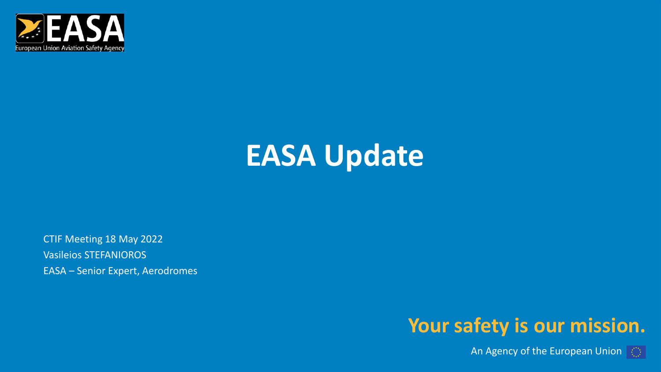

# **EASA Update**

CTIF Meeting 18 May 2022 Vasileios STEFANIOROS EASA – Senior Expert, Aerodromes

#### **Your safety is our mission.**

An Agency of the European Union  $\Box$ 

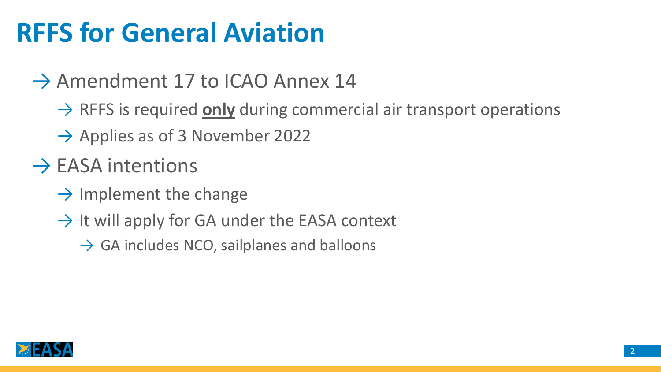# **RFFS for General Aviation**

### $\rightarrow$  Amendment 17 to ICAO Annex 14

- → RFFS is required **only** during commercial air transport operations
- $\rightarrow$  Applies as of 3 November 2022
- $\rightarrow$  EASA intentions
	- $\rightarrow$  Implement the change
	- $\rightarrow$  It will apply for GA under the EASA context
		- $\rightarrow$  GA includes NCO, sailplanes and balloons

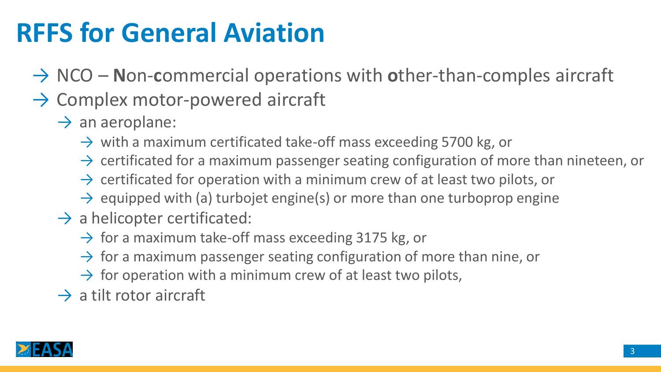# **RFFS for General Aviation**

- → NCO **N**on-**c**ommercial operations with **o**ther-than-comples aircraft
- $\rightarrow$  Complex motor-powered aircraft
	- $\rightarrow$  an aeroplane:
		- $\rightarrow$  with a maximum certificated take-off mass exceeding 5700 kg, or
		- $\rightarrow$  certificated for a maximum passenger seating configuration of more than nineteen, or
		- $\rightarrow$  certificated for operation with a minimum crew of at least two pilots, or
		- $\rightarrow$  equipped with (a) turbojet engine(s) or more than one turboprop engine
	- $\rightarrow$  a helicopter certificated:
		- $\rightarrow$  for a maximum take-off mass exceeding 3175 kg, or
		- $\rightarrow$  for a maximum passenger seating configuration of more than nine, or
		- $\rightarrow$  for operation with a minimum crew of at least two pilots,
	- $\rightarrow$  a tilt rotor aircraft

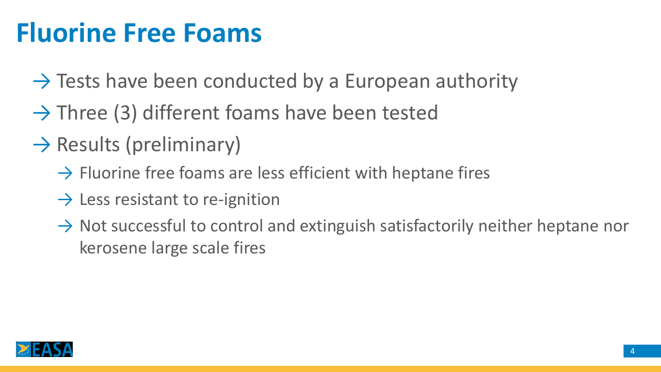# **Fluorine Free Foams**

- $\rightarrow$  Tests have been conducted by a European authority
- $\rightarrow$  Three (3) different foams have been tested
- $\rightarrow$  Results (preliminary)
	- $\rightarrow$  Fluorine free foams are less efficient with heptane fires
	- $\rightarrow$  Less resistant to re-ignition
	- $\rightarrow$  Not successful to control and extinguish satisfactorily neither heptane nor kerosene large scale fires

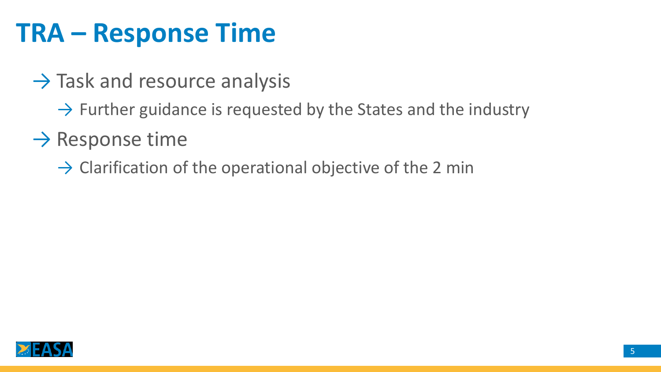## **TRA – Response Time**

- $\rightarrow$  Task and resource analysis
	- $\rightarrow$  Further guidance is requested by the States and the industry
- $\rightarrow$  Response time
	- $\rightarrow$  Clarification of the operational objective of the 2 min

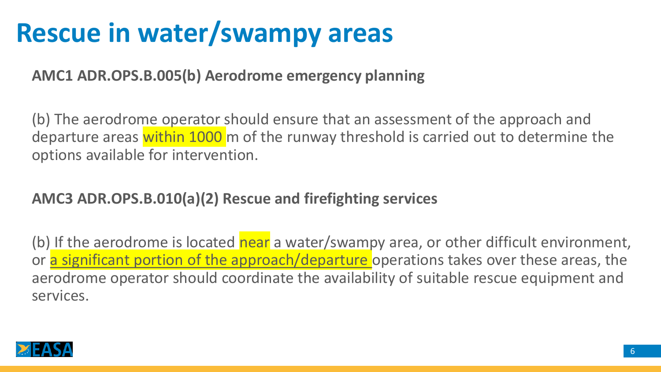# **Rescue in water/swampy areas**

**AMC1 ADR.OPS.B.005(b) Aerodrome emergency planning**

(b) The aerodrome operator should ensure that an assessment of the approach and departure areas within 1000 m of the runway threshold is carried out to determine the options available for intervention.

#### **AMC3 ADR.OPS.B.010(a)(2) Rescue and firefighting services**

(b) If the aerodrome is located near a water/swampy area, or other difficult environment, or a significant portion of the approach/departure operations takes over these areas, the aerodrome operator should coordinate the availability of suitable rescue equipment and services.

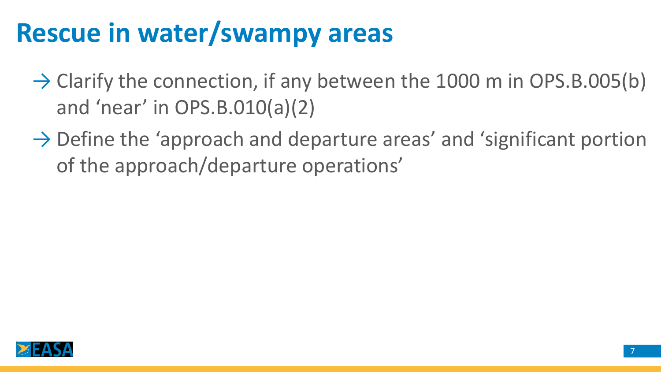# **Rescue in water/swampy areas**

- $\rightarrow$  Clarify the connection, if any between the 1000 m in OPS.B.005(b) and 'near' in OPS.B.010(a)(2)
- $\rightarrow$  Define the 'approach and departure areas' and 'significant portion of the approach/departure operations'

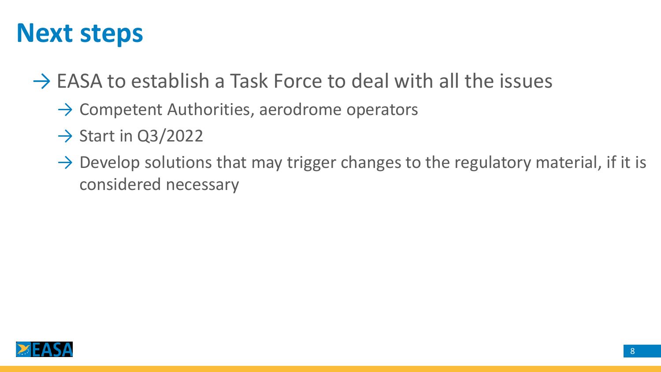## **Next steps**

 $\rightarrow$  EASA to establish a Task Force to deal with all the issues

- $\rightarrow$  Competent Authorities, aerodrome operators
- $\rightarrow$  Start in Q3/2022
- $\rightarrow$  Develop solutions that may trigger changes to the regulatory material, if it is considered necessary